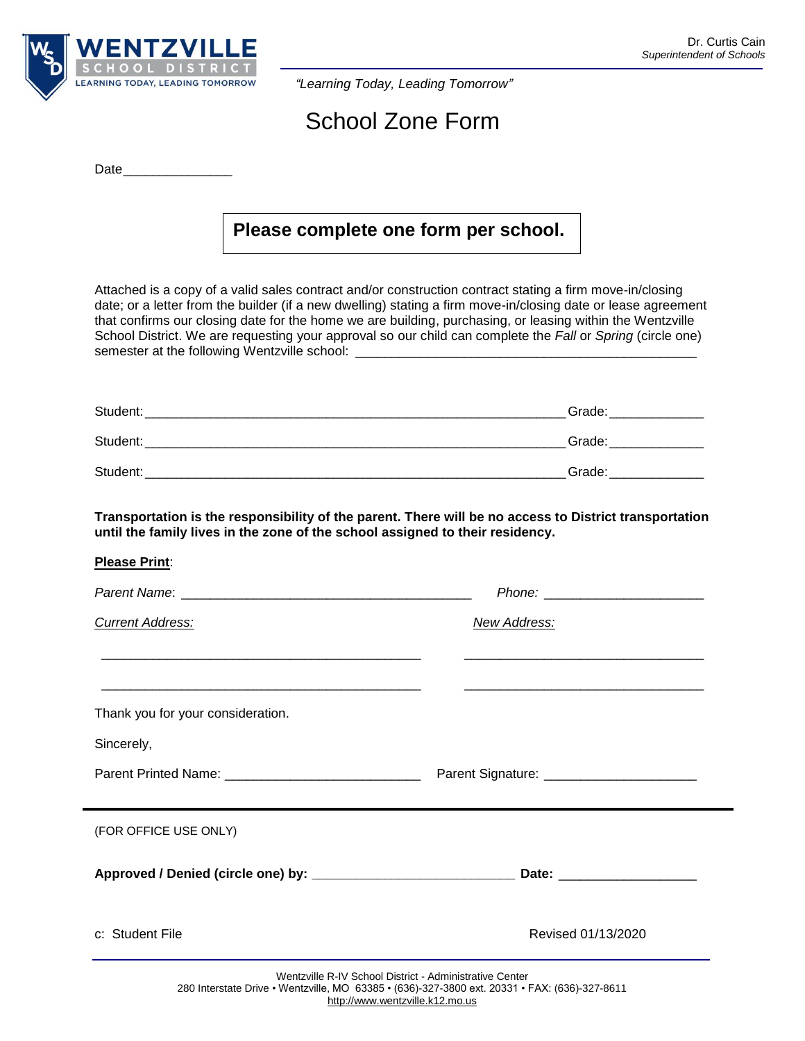

*"Learning Today, Leading Tomorrow"*

## School Zone Form

|--|

## **Please complete one form per school.**

Attached is a copy of a valid sales contract and/or construction contract stating a firm move-in/closing date; or a letter from the builder (if a new dwelling) stating a firm move-in/closing date or lease agreement that confirms our closing date for the home we are building, purchasing, or leasing within the Wentzville School District. We are requesting your approval so our child can complete the *Fall* or *Spring* (circle one) semester at the following Wentzville school: \_\_

| Student: | Grade: |
|----------|--------|
| Student: | Grade: |
| Student: | Grade: |

**Transportation is the responsibility of the parent. There will be no access to District transportation until the family lives in the zone of the school assigned to their residency.**

| <b>Current Address:</b>                                                                                              | <b>New Address:</b>                                     |
|----------------------------------------------------------------------------------------------------------------------|---------------------------------------------------------|
| <u> 1989 - Jan James James James James James James James James James James James James James James James James J</u> |                                                         |
| Thank you for your consideration.                                                                                    |                                                         |
| Sincerely,                                                                                                           |                                                         |
| Parent Printed Name: __________________________________                                                              | Parent Signature: _________________________             |
| (FOR OFFICE USE ONLY)                                                                                                |                                                         |
|                                                                                                                      |                                                         |
| c: Student File                                                                                                      | Revised 01/13/2020                                      |
|                                                                                                                      | Wentzville R-IV School District - Administrative Center |